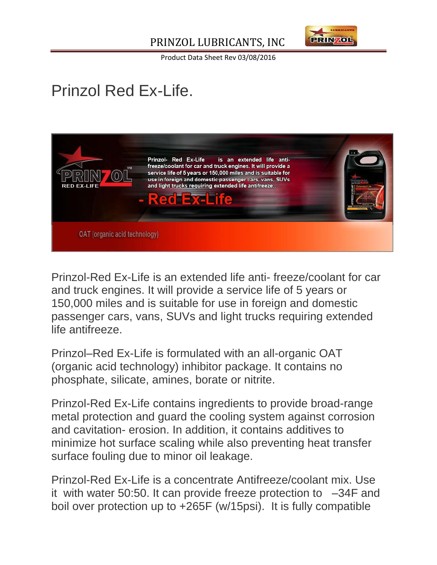#### PRINZOL LUBRICANTS, INC



Product Data Sheet Rev 03/08/2016

# Prinzol Red Ex-Life.



Prinzol-Red Ex-Life is an extended life anti- freeze/coolant for car and truck engines. It will provide a service life of 5 years or 150,000 miles and is suitable for use in foreign and domestic passenger cars, vans, SUVs and light trucks requiring extended life antifreeze.

Prinzol–Red Ex-Life is formulated with an all-organic OAT (organic acid technology) inhibitor package. It contains no phosphate, silicate, amines, borate or nitrite.

Prinzol-Red Ex-Life contains ingredients to provide broad-range metal protection and guard the cooling system against corrosion and cavitation- erosion. In addition, it contains additives to minimize hot surface scaling while also preventing heat transfer surface fouling due to minor oil leakage.

Prinzol-Red Ex-Life is a concentrate Antifreeze/coolant mix. Use it with water 50:50. It can provide freeze protection to –34F and boil over protection up to +265F (w/15psi). It is fully compatible